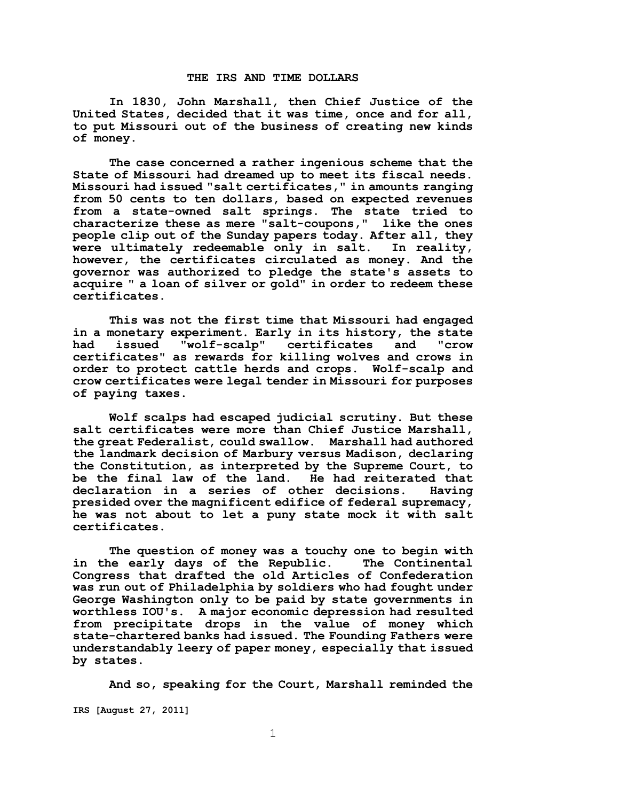## **THE IRS AND TIME DOLLARS**

**In 1830, John Marshall, then Chief Justice of the United States, decided that it was time, once and for all, to put Missouri out of the business of creating new kinds of money.**

**The case concerned a rather ingenious scheme that the State of Missouri had dreamed up to meet its fiscal needs. Missouri had issued "salt certificates," in amounts ranging from 50 cents to ten dollars, based on expected revenues from a state-owned salt springs. The state tried to characterize these as mere "salt-coupons," like the ones people clip out of the Sunday papers today. After all, they were ultimately redeemable only in salt. In reality, however, the certificates circulated as money. And the governor was authorized to pledge the state's assets to acquire " a loan of silver or gold" in order to redeem these certificates.** 

**This was not the first time that Missouri had engaged in a monetary experiment. Early in its history, the state had issued "wolf-scalp" certificates and "crow certificates" as rewards for killing wolves and crows in order to protect cattle herds and crops. Wolf-scalp and crow certificates were legal tender in Missouri for purposes of paying taxes.** 

**Wolf scalps had escaped judicial scrutiny. But these salt certificates were more than Chief Justice Marshall, the great Federalist, could swallow. Marshall had authored the landmark decision of Marbury versus Madison, declaring the Constitution, as interpreted by the Supreme Court, to be the final law of the land. He had reiterated that declaration in a series of other decisions. Having presided over the magnificent edifice of federal supremacy, he was not about to let a puny state mock it with salt certificates.** 

**The question of money was a touchy one to begin with in the early days of the Republic. The Continental Congress that drafted the old Articles of Confederation was run out of Philadelphia by soldiers who had fought under George Washington only to be paid by state governments in worthless IOU's. A major economic depression had resulted from precipitate drops in the value of money which state-chartered banks had issued. The Founding Fathers were understandably leery of paper money, especially that issued by states.** 

**IRS [August 27, 2011] And so, speaking for the Court, Marshall reminded the**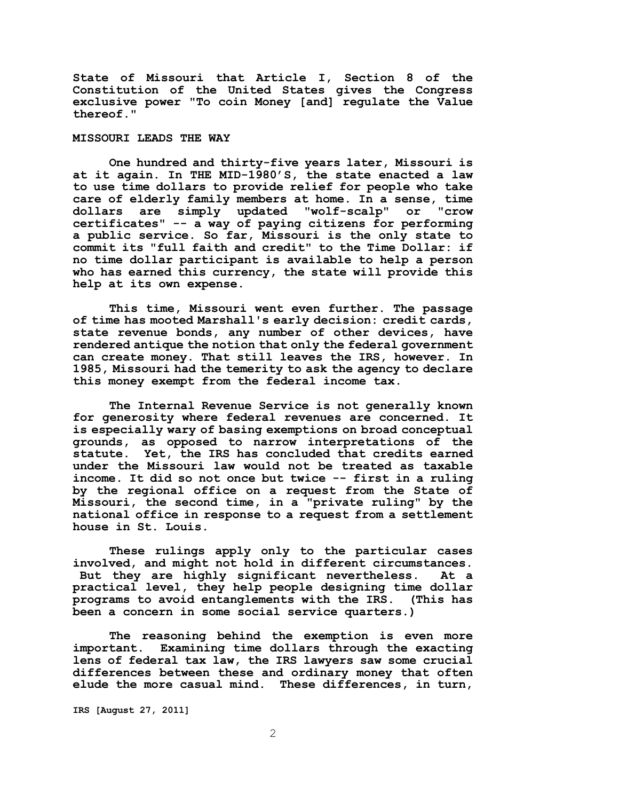**State of Missouri that Article I, Section 8 of the Constitution of the United States gives the Congress exclusive power "To coin Money [and] regulate the Value thereof."** 

# **MISSOURI LEADS THE WAY**

**One hundred and thirty-five years later, Missouri is at it again. In THE MID-1980'S, the state enacted a law to use time dollars to provide relief for people who take care of elderly family members at home. In a sense, time dollars are simply updated "wolf-scalp" or "crow certificates" -- a way of paying citizens for performing a public service. So far, Missouri is the only state to commit its "full faith and credit" to the Time Dollar: if no time dollar participant is available to help a person who has earned this currency, the state will provide this help at its own expense.** 

**This time, Missouri went even further. The passage of time has mooted Marshall's early decision: credit cards, state revenue bonds, any number of other devices, have rendered antique the notion that only the federal government can create money. That still leaves the IRS, however. In 1985, Missouri had the temerity to ask the agency to declare this money exempt from the federal income tax.**

**The Internal Revenue Service is not generally known for generosity where federal revenues are concerned. It is especially wary of basing exemptions on broad conceptual grounds, as opposed to narrow interpretations of the statute. Yet, the IRS has concluded that credits earned under the Missouri law would not be treated as taxable income. It did so not once but twice -- first in a ruling by the regional office on a request from the State of Missouri, the second time, in a "private ruling" by the national office in response to a request from a settlement house in St. Louis.** 

**These rulings apply only to the particular cases involved, and might not hold in different circumstances. But they are highly significant nevertheless. At a practical level, they help people designing time dollar programs to avoid entanglements with the IRS. (This has been a concern in some social service quarters.)**

**The reasoning behind the exemption is even more important. Examining time dollars through the exacting lens of federal tax law, the IRS lawyers saw some crucial differences between these and ordinary money that often elude the more casual mind. These differences, in turn,**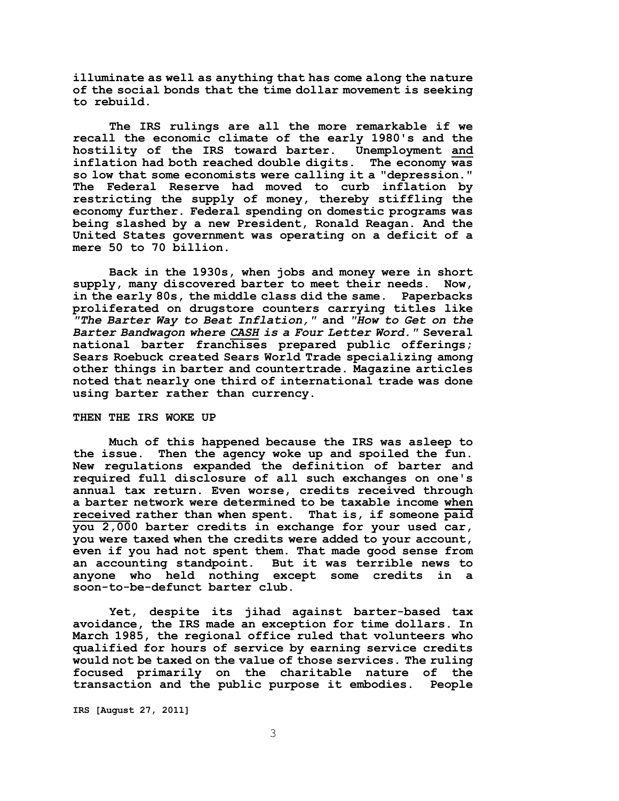**illuminate as well as anything that has come along the nature of the social bonds that the time dollar movement is seeking to rebuild.**

**The IRS rulings are all the more remarkable if we recall the economic climate of the early 1980's and the hostility of the IRS toward barter. Unemployment and inflation had both reached double digits. The economy was so low that some economists were calling it a "depression." The Federal Reserve had moved to curb inflation by restricting the supply of money, thereby stiffling the economy further. Federal spending on domestic programs was being slashed by a new President, Ronald Reagan. And the United States government was operating on a deficit of a mere 50 to 70 billion.** 

**Back in the 1930s, when jobs and money were in short supply, many discovered barter to meet their needs. Now, in the early 80s, the middle class did the same. Paperbacks proliferated on drugstore counters carrying titles like**  *"The Barter Way to Beat Inflation,"* **and** *"How to Get on the Barter Bandwagon where CASH is a Four Letter Word."* **Several national barter franchises prepared public offerings; Sears Roebuck created Sears World Trade specializing among other things in barter and countertrade. Magazine articles noted that nearly one third of international trade was done using barter rather than currency.**

#### **THEN THE IRS WOKE UP**

**Much of this happened because the IRS was asleep to the issue. Then the agency woke up and spoiled the fun. New regulations expanded the definition of barter and required full disclosure of all such exchanges on one's annual tax return. Even worse, credits received through a barter network were determined to be taxable income when received rather than when spent. That is, if someone paid you 2,000 barter credits in exchange for your used car, you were taxed when the credits were added to your account, even if you had not spent them. That made good sense from an accounting standpoint. But it was terrible news to anyone who held nothing except some credits in a soon-to-be-defunct barter club.** 

**Yet, despite its jihad against barter-based tax avoidance, the IRS made an exception for time dollars. In March 1985, the regional office ruled that volunteers who qualified for hours of service by earning service credits would not be taxed on the value of those services. The ruling focused primarily on the charitable nature of the transaction and the public purpose it embodies. People**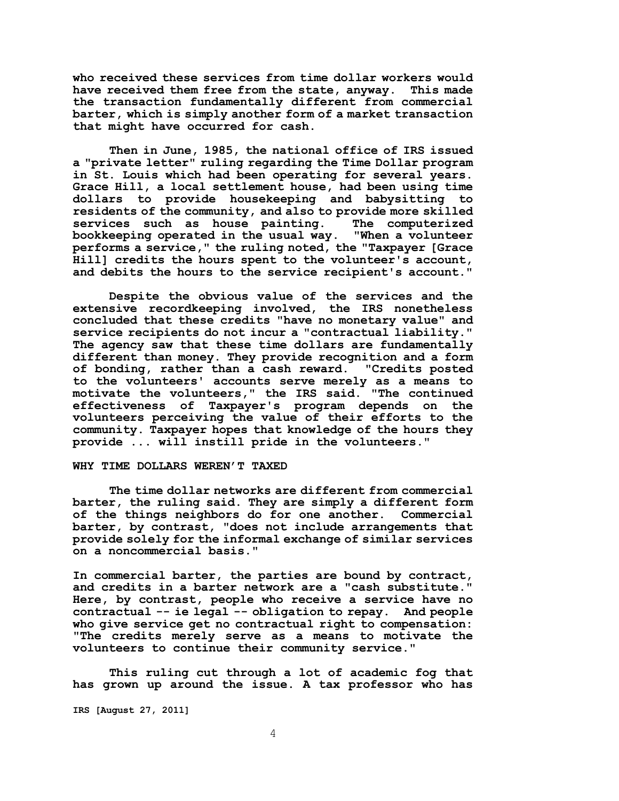**who received these services from time dollar workers would have received them free from the state, anyway. This made the transaction fundamentally different from commercial barter, which is simply another form of a market transaction that might have occurred for cash.** 

**Then in June, 1985, the national office of IRS issued a "private letter" ruling regarding the Time Dollar program in St. Louis which had been operating for several years. Grace Hill, a local settlement house, had been using time dollars to provide housekeeping and babysitting to residents of the community, and also to provide more skilled services such as house painting. The computerized bookkeeping operated in the usual way. "When a volunteer performs a service," the ruling noted, the "Taxpayer [Grace Hill] credits the hours spent to the volunteer's account, and debits the hours to the service recipient's account."**

**Despite the obvious value of the services and the extensive recordkeeping involved, the IRS nonetheless concluded that these credits "have no monetary value" and service recipients do not incur a "contractual liability." The agency saw that these time dollars are fundamentally different than money. They provide recognition and a form of bonding, rather than a cash reward. "Credits posted to the volunteers' accounts serve merely as a means to motivate the volunteers," the IRS said. "The continued effectiveness of Taxpayer's program depends on the volunteers perceiving the value of their efforts to the community. Taxpayer hopes that knowledge of the hours they provide ... will instill pride in the volunteers."**

### **WHY TIME DOLLARS WEREN'T TAXED**

**The time dollar networks are different from commercial barter, the ruling said. They are simply a different form of the things neighbors do for one another. Commercial barter, by contrast, "does not include arrangements that provide solely for the informal exchange of similar services on a noncommercial basis."**

**In commercial barter, the parties are bound by contract, and credits in a barter network are a "cash substitute." Here, by contrast, people who receive a service have no contractual -- ie legal -- obligation to repay. And people who give service get no contractual right to compensation: "The credits merely serve as a means to motivate the volunteers to continue their community service."** 

**This ruling cut through a lot of academic fog that has grown up around the issue. A tax professor who has**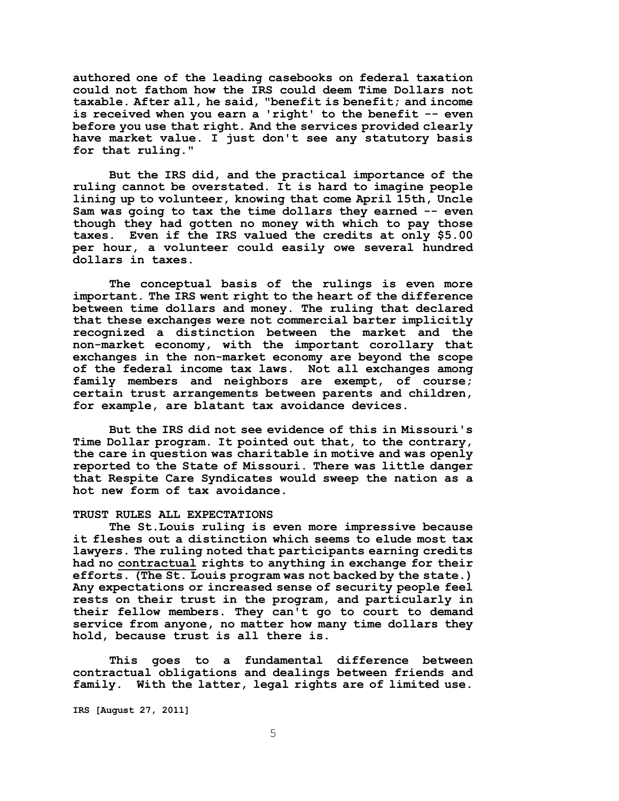**authored one of the leading casebooks on federal taxation could not fathom how the IRS could deem Time Dollars not taxable. After all, he said, "benefit is benefit; and income is received when you earn a 'right' to the benefit -- even before you use that right. And the services provided clearly have market value. I just don't see any statutory basis for that ruling."** 

**But the IRS did, and the practical importance of the ruling cannot be overstated. It is hard to imagine people lining up to volunteer, knowing that come April 15th, Uncle Sam was going to tax the time dollars they earned -- even though they had gotten no money with which to pay those taxes. Even if the IRS valued the credits at only \$5.00 per hour, a volunteer could easily owe several hundred dollars in taxes.** 

**The conceptual basis of the rulings is even more important. The IRS went right to the heart of the difference between time dollars and money. The ruling that declared that these exchanges were not commercial barter implicitly recognized a distinction between the market and the non-market economy, with the important corollary that exchanges in the non-market economy are beyond the scope of the federal income tax laws. Not all exchanges among family members and neighbors are exempt, of course; certain trust arrangements between parents and children, for example, are blatant tax avoidance devices.** 

**But the IRS did not see evidence of this in Missouri's Time Dollar program. It pointed out that, to the contrary, the care in question was charitable in motive and was openly reported to the State of Missouri. There was little danger that Respite Care Syndicates would sweep the nation as a hot new form of tax avoidance.**

# **TRUST RULES ALL EXPECTATIONS**

**The St.Louis ruling is even more impressive because it fleshes out a distinction which seems to elude most tax lawyers. The ruling noted that participants earning credits had no contractual rights to anything in exchange for their efforts. (The St. Louis program was not backed by the state.) Any expectations or increased sense of security people feel rests on their trust in the program, and particularly in their fellow members. They can't go to court to demand service from anyone, no matter how many time dollars they hold, because trust is all there is.** 

**This goes to a fundamental difference between contractual obligations and dealings between friends and family. With the latter, legal rights are of limited use.**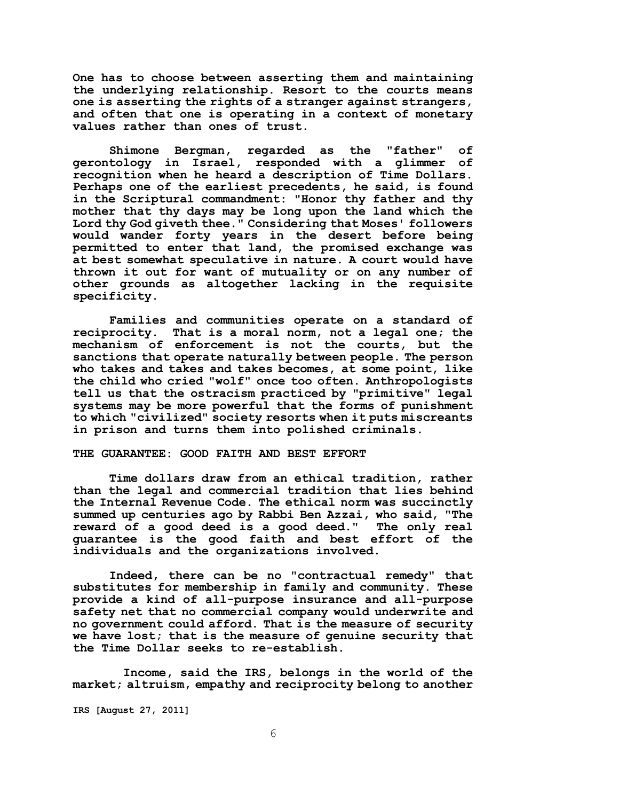**One has to choose between asserting them and maintaining the underlying relationship. Resort to the courts means one is asserting the rights of a stranger against strangers, and often that one is operating in a context of monetary values rather than ones of trust.** 

**Shimone Bergman, regarded as the "father" of gerontology in Israel, responded with a glimmer of recognition when he heard a description of Time Dollars. Perhaps one of the earliest precedents, he said, is found in the Scriptural commandment: "Honor thy father and thy mother that thy days may be long upon the land which the Lord thy God giveth thee." Considering that Moses' followers would wander forty years in the desert before being permitted to enter that land, the promised exchange was at best somewhat speculative in nature. A court would have thrown it out for want of mutuality or on any number of other grounds as altogether lacking in the requisite specificity.** 

**Families and communities operate on a standard of reciprocity. That is a moral norm, not a legal one; the mechanism of enforcement is not the courts, but the sanctions that operate naturally between people. The person who takes and takes and takes becomes, at some point, like the child who cried "wolf" once too often. Anthropologists tell us that the ostracism practiced by "primitive" legal systems may be more powerful that the forms of punishment to which "civilized" society resorts when it puts miscreants in prison and turns them into polished criminals.** 

#### **THE GUARANTEE: GOOD FAITH AND BEST EFFORT**

**Time dollars draw from an ethical tradition, rather than the legal and commercial tradition that lies behind the Internal Revenue Code. The ethical norm was succinctly summed up centuries ago by Rabbi Ben Azzai, who said, "The reward of a good deed is a good deed." The only real guarantee is the good faith and best effort of the individuals and the organizations involved.** 

**Indeed, there can be no "contractual remedy" that substitutes for membership in family and community. These provide a kind of all-purpose insurance and all-purpose safety net that no commercial company would underwrite and no government could afford. That is the measure of security we have lost; that is the measure of genuine security that the Time Dollar seeks to re-establish.** 

 **Income, said the IRS, belongs in the world of the market; altruism, empathy and reciprocity belong to another**